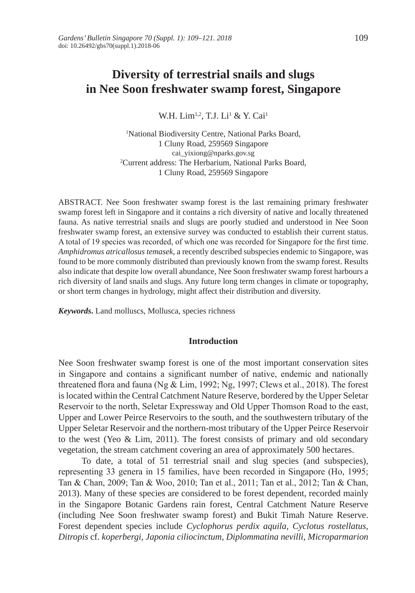# **Diversity of terrestrial snails and slugs in Nee Soon freshwater swamp forest, Singapore**

W.H. Lim<sup>1,2</sup>, T.J. Li<sup>1</sup> & Y. Cai<sup>1</sup>

1 National Biodiversity Centre, National Parks Board, 1 Cluny Road, 259569 Singapore cai\_yixiong@nparks.gov.sg 2 Current address: The Herbarium, National Parks Board, 1 Cluny Road, 259569 Singapore

ABSTRACT. Nee Soon freshwater swamp forest is the last remaining primary freshwater swamp forest left in Singapore and it contains a rich diversity of native and locally threatened fauna. As native terrestrial snails and slugs are poorly studied and understood in Nee Soon freshwater swamp forest, an extensive survey was conducted to establish their current status. A total of 19 species was recorded, of which one was recorded for Singapore for the first time. *Amphidromus atricallosus temasek,* a recently described subspecies endemic to Singapore, was found to be more commonly distributed than previously known from the swamp forest. Results also indicate that despite low overall abundance, Nee Soon freshwater swamp forest harbours a rich diversity of land snails and slugs. Any future long term changes in climate or topography, or short term changes in hydrology, might affect their distribution and diversity.

*Keywords***.** Land molluscs, Mollusca, species richness

### **Introduction**

Nee Soon freshwater swamp forest is one of the most important conservation sites in Singapore and contains a significant number of native, endemic and nationally threatened flora and fauna (Ng & Lim, 1992; Ng, 1997; Clews et al., 2018). The forest is located within the Central Catchment Nature Reserve, bordered by the Upper Seletar Reservoir to the north, Seletar Expressway and Old Upper Thomson Road to the east, Upper and Lower Peirce Reservoirs to the south, and the southwestern tributary of the Upper Seletar Reservoir and the northern-most tributary of the Upper Peirce Reservoir to the west (Yeo & Lim, 2011). The forest consists of primary and old secondary vegetation, the stream catchment covering an area of approximately 500 hectares.

To date, a total of 51 terrestrial snail and slug species (and subspecies), representing 33 genera in 15 families, have been recorded in Singapore (Ho, 1995; Tan & Chan, 2009; Tan & Woo, 2010; Tan et al., 2011; Tan et al., 2012; Tan & Chan, 2013). Many of these species are considered to be forest dependent, recorded mainly in the Singapore Botanic Gardens rain forest, Central Catchment Nature Reserve (including Nee Soon freshwater swamp forest) and Bukit Timah Nature Reserve. Forest dependent species include *Cyclophorus perdix aquila, Cyclotus rostellatus, Ditropis* cf. *koperbergi, Japonia ciliocinctum, Diplommatina nevilli, Microparmarion*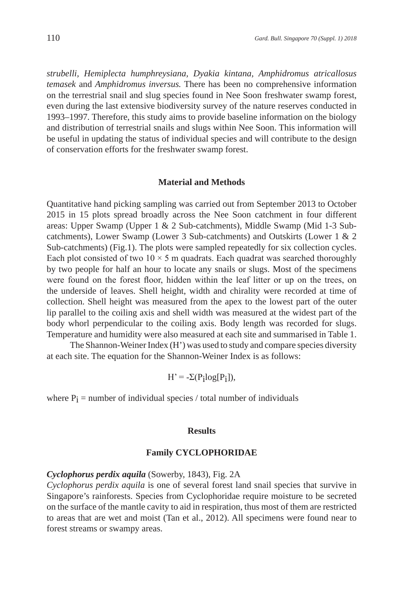*strubelli, Hemiplecta humphreysiana, Dyakia kintana, Amphidromus atricallosus temasek* and *Amphidromus inversus.* There has been no comprehensive information on the terrestrial snail and slug species found in Nee Soon freshwater swamp forest, even during the last extensive biodiversity survey of the nature reserves conducted in 1993–1997. Therefore, this study aims to provide baseline information on the biology and distribution of terrestrial snails and slugs within Nee Soon. This information will be useful in updating the status of individual species and will contribute to the design of conservation efforts for the freshwater swamp forest.

### **Material and Methods**

Quantitative hand picking sampling was carried out from September 2013 to October 2015 in 15 plots spread broadly across the Nee Soon catchment in four different areas: Upper Swamp (Upper 1 & 2 Sub-catchments), Middle Swamp (Mid 1-3 Subcatchments), Lower Swamp (Lower 3 Sub-catchments) and Outskirts (Lower 1 & 2 Sub-catchments) (Fig.1). The plots were sampled repeatedly for six collection cycles. Each plot consisted of two  $10 \times 5$  m quadrats. Each quadrat was searched thoroughly by two people for half an hour to locate any snails or slugs. Most of the specimens were found on the forest floor, hidden within the leaf litter or up on the trees, on the underside of leaves. Shell height, width and chirality were recorded at time of collection. Shell height was measured from the apex to the lowest part of the outer lip parallel to the coiling axis and shell width was measured at the widest part of the body whorl perpendicular to the coiling axis. Body length was recorded for slugs. Temperature and humidity were also measured at each site and summarised in Table 1.

The Shannon-Weiner Index (H') was used to study and compare species diversity at each site. The equation for the Shannon-Weiner Index is as follows:

 $H' = -\Sigma(P_i \log(P_i)),$ 

where  $P_i$  = number of individual species / total number of individuals

#### **Results**

### **Family CYCLOPHORIDAE**

# *Cyclophorus perdix aquila* (Sowerby, 1843), Fig. 2A

*Cyclophorus perdix aquila* is one of several forest land snail species that survive in Singapore's rainforests. Species from Cyclophoridae require moisture to be secreted on the surface of the mantle cavity to aid in respiration, thus most of them are restricted to areas that are wet and moist (Tan et al., 2012). All specimens were found near to forest streams or swampy areas.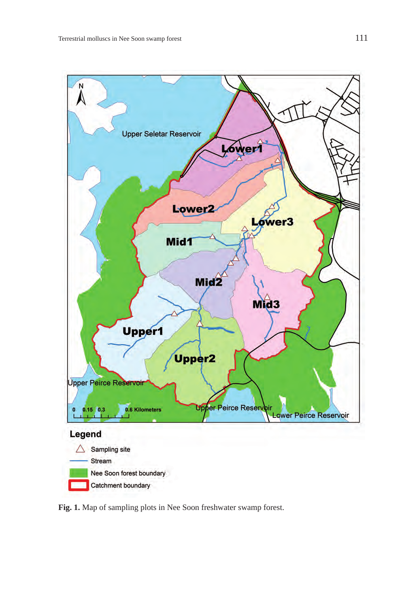

**Fig. 1.** Map of sampling plots in Nee Soon freshwater swamp forest.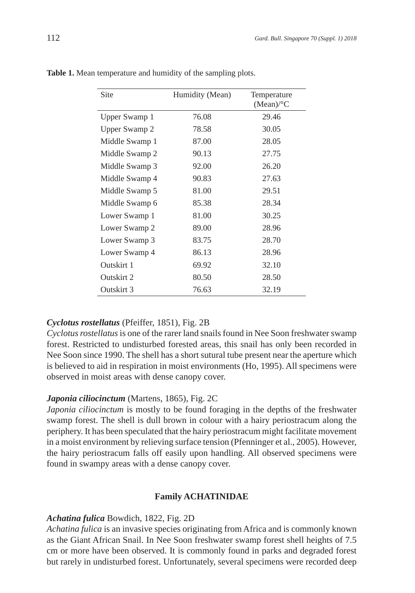| Site           | Humidity (Mean) | Temperature<br>$(Mean)$ <sup>o</sup> C |
|----------------|-----------------|----------------------------------------|
| Upper Swamp 1  | 76.08           | 29.46                                  |
| Upper Swamp 2  | 78.58           | 30.05                                  |
| Middle Swamp 1 | 87.00           | 28.05                                  |
| Middle Swamp 2 | 90.13           | 27.75                                  |
| Middle Swamp 3 | 92.00           | 26.20                                  |
| Middle Swamp 4 | 90.83           | 27.63                                  |
| Middle Swamp 5 | 81.00           | 29.51                                  |
| Middle Swamp 6 | 85.38           | 28.34                                  |
| Lower Swamp 1  | 81.00           | 30.25                                  |
| Lower Swamp 2  | 89.00           | 28.96                                  |
| Lower Swamp 3  | 83.75           | 28.70                                  |
| Lower Swamp 4  | 86.13           | 28.96                                  |
| Outskirt 1     | 69.92           | 32.10                                  |
| Outskirt 2     | 80.50           | 28.50                                  |
| Outskirt 3     | 76.63           | 32.19                                  |

**Table 1.** Mean temperature and humidity of the sampling plots.

# *Cyclotus rostellatus* (Pfeiffer, 1851), Fig. 2B

*Cyclotus rostellatus* is one of the rarer land snails found in Nee Soon freshwater swamp forest. Restricted to undisturbed forested areas, this snail has only been recorded in Nee Soon since 1990. The shell has a short sutural tube present near the aperture which is believed to aid in respiration in moist environments (Ho, 1995). All specimens were observed in moist areas with dense canopy cover.

### *Japonia ciliocinctum* (Martens, 1865), Fig. 2C

*Japonia ciliocinctum* is mostly to be found foraging in the depths of the freshwater swamp forest. The shell is dull brown in colour with a hairy periostracum along the periphery. It has been speculated that the hairy periostracum might facilitate movement in a moist environment by relieving surface tension (Pfenninger et al., 2005). However, the hairy periostracum falls off easily upon handling. All observed specimens were found in swampy areas with a dense canopy cover.

#### **Family ACHATINIDAE**

### *Achatina fulica* Bowdich, 1822, Fig. 2D

*Achatina fulica* is an invasive species originating from Africa and is commonly known as the Giant African Snail. In Nee Soon freshwater swamp forest shell heights of 7.5 cm or more have been observed. It is commonly found in parks and degraded forest but rarely in undisturbed forest. Unfortunately, several specimens were recorded deep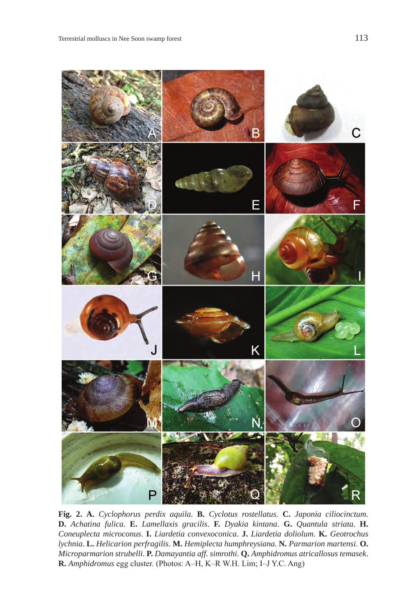

**Fig. 2. A.** *Cyclophorus perdix aquila*. **B.** *Cyclotus rostellatus*. **C.** *Japonia ciliocinctum*. **D.** *Achatina fulica*. **E.** *Lamellaxis gracilis*. **F.** *Dyakia kintana*. **G.** *Quantula striata*. **H.** *Coneuplecta microconus*. **I.** *Liardetia convexoconica*. **J.** *Liardetia doliolum*. **K.** *Geotrochus lychnia*. **L.** *Helicarion perfragilis*. **M.** *Hemiplecta humphreysiana*. **N.** *Parmarion martensi*. **O.** *Microparmarion strubelli*. **P.** *Damayantia aff. simrothi*. **Q.** *Amphidromus atricallosus temasek*. **R.** *Amphidromus* egg cluster. (Photos: A–H, K–R W.H. Lim; I–J Y.C. Ang)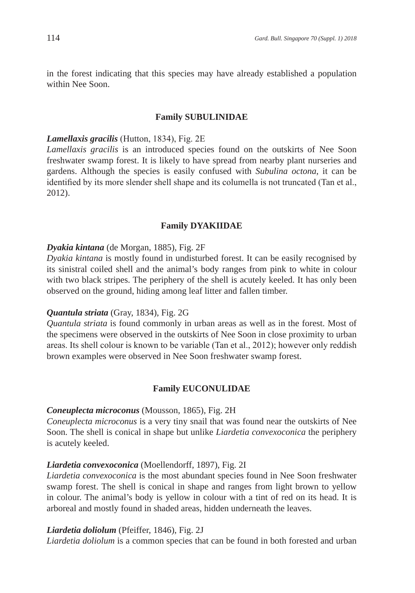in the forest indicating that this species may have already established a population within Nee Soon.

# **Family SUBULINIDAE**

### *Lamellaxis gracilis* (Hutton, 1834), Fig. 2E

*Lamellaxis gracilis* is an introduced species found on the outskirts of Nee Soon freshwater swamp forest. It is likely to have spread from nearby plant nurseries and gardens. Although the species is easily confused with *Subulina octona*, it can be identified by its more slender shell shape and its columella is not truncated (Tan et al., 2012).

### **Family DYAKIIDAE**

### *Dyakia kintana* (de Morgan, 1885), Fig. 2F

*Dyakia kintana* is mostly found in undisturbed forest. It can be easily recognised by its sinistral coiled shell and the animal's body ranges from pink to white in colour with two black stripes. The periphery of the shell is acutely keeled. It has only been observed on the ground, hiding among leaf litter and fallen timber.

# *Quantula striata* (Gray, 1834), Fig. 2G

*Quantula striata* is found commonly in urban areas as well as in the forest. Most of the specimens were observed in the outskirts of Nee Soon in close proximity to urban areas. Its shell colour is known to be variable (Tan et al., 2012); however only reddish brown examples were observed in Nee Soon freshwater swamp forest.

#### **Family EUCONULIDAE**

### *Coneuplecta microconus* (Mousson, 1865), Fig. 2H

*Coneuplecta microconus* is a very tiny snail that was found near the outskirts of Nee Soon. The shell is conical in shape but unlike *Liardetia convexoconica* the periphery is acutely keeled.

# *Liardetia convexoconica* (Moellendorff, 1897), Fig. 2I

*Liardetia convexoconica* is the most abundant species found in Nee Soon freshwater swamp forest. The shell is conical in shape and ranges from light brown to yellow in colour. The animal's body is yellow in colour with a tint of red on its head. It is arboreal and mostly found in shaded areas, hidden underneath the leaves.

### *Liardetia doliolum* (Pfeiffer, 1846), Fig. 2J

*Liardetia doliolum* is a common species that can be found in both forested and urban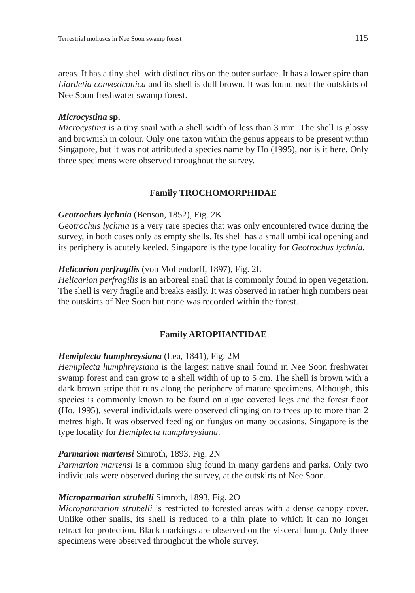areas. It has a tiny shell with distinct ribs on the outer surface. It has a lower spire than *Liardetia convexiconica* and its shell is dull brown. It was found near the outskirts of Nee Soon freshwater swamp forest.

# *Microcystina* **sp.**

*Microcystina* is a tiny snail with a shell width of less than 3 mm. The shell is glossy and brownish in colour. Only one taxon within the genus appears to be present within Singapore, but it was not attributed a species name by Ho (1995), nor is it here. Only three specimens were observed throughout the survey.

# **Family TROCHOMORPHIDAE**

# *Geotrochus lychnia* (Benson, 1852), Fig. 2K

*Geotrochus lychnia* is a very rare species that was only encountered twice during the survey, in both cases only as empty shells. Its shell has a small umbilical opening and its periphery is acutely keeled. Singapore is the type locality for *Geotrochus lychnia.*

# *Helicarion perfragilis* (von Mollendorff, 1897), Fig. 2L

*Helicarion perfragilis* is an arboreal snail that is commonly found in open vegetation. The shell is very fragile and breaks easily. It was observed in rather high numbers near the outskirts of Nee Soon but none was recorded within the forest.

# **Family ARIOPHANTIDAE**

# *Hemiplecta humphreysiana* (Lea, 1841), Fig. 2M

*Hemiplecta humphreysiana* is the largest native snail found in Nee Soon freshwater swamp forest and can grow to a shell width of up to 5 cm. The shell is brown with a dark brown stripe that runs along the periphery of mature specimens. Although, this species is commonly known to be found on algae covered logs and the forest floor (Ho, 1995), several individuals were observed clinging on to trees up to more than 2 metres high. It was observed feeding on fungus on many occasions. Singapore is the type locality for *Hemiplecta humphreysiana*.

# *Parmarion martensi* Simroth, 1893, Fig. 2N

*Parmarion martensi* is a common slug found in many gardens and parks. Only two individuals were observed during the survey, at the outskirts of Nee Soon.

# *Microparmarion strubelli* Simroth, 1893, Fig. 2O

*Microparmarion strubelli* is restricted to forested areas with a dense canopy cover. Unlike other snails, its shell is reduced to a thin plate to which it can no longer retract for protection. Black markings are observed on the visceral hump. Only three specimens were observed throughout the whole survey.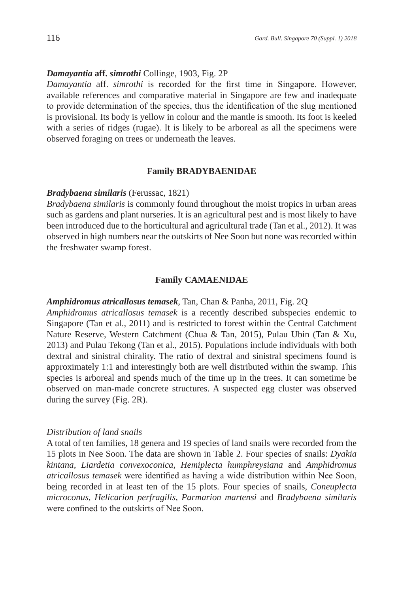# *Damayantia* **aff.** *simrothi* Collinge, 1903, Fig. 2P

*Damayantia* aff. *simrothi* is recorded for the first time in Singapore. However, available references and comparative material in Singapore are few and inadequate to provide determination of the species, thus the identification of the slug mentioned is provisional. Its body is yellow in colour and the mantle is smooth. Its foot is keeled with a series of ridges (rugae). It is likely to be arboreal as all the specimens were observed foraging on trees or underneath the leaves.

#### **Family BRADYBAENIDAE**

#### *Bradybaena similaris* (Ferussac, 1821)

*Bradybaena similaris* is commonly found throughout the moist tropics in urban areas such as gardens and plant nurseries. It is an agricultural pest and is most likely to have been introduced due to the horticultural and agricultural trade (Tan et al., 2012). It was observed in high numbers near the outskirts of Nee Soon but none was recorded within the freshwater swamp forest.

### **Family CAMAENIDAE**

# *Amphidromus atricallosus temasek*, Tan, Chan & Panha, 2011, Fig. 2Q

*Amphidromus atricallosus temasek* is a recently described subspecies endemic to Singapore (Tan et al., 2011) and is restricted to forest within the Central Catchment Nature Reserve, Western Catchment (Chua & Tan, 2015), Pulau Ubin (Tan & Xu, 2013) and Pulau Tekong (Tan et al., 2015). Populations include individuals with both dextral and sinistral chirality. The ratio of dextral and sinistral specimens found is approximately 1:1 and interestingly both are well distributed within the swamp. This species is arboreal and spends much of the time up in the trees. It can sometime be observed on man-made concrete structures. A suspected egg cluster was observed during the survey (Fig. 2R).

#### *Distribution of land snails*

A total of ten families, 18 genera and 19 species of land snails were recorded from the 15 plots in Nee Soon. The data are shown in Table 2. Four species of snails: *Dyakia kintana, Liardetia convexoconica, Hemiplecta humphreysiana* and *Amphidromus atricallosus temasek* were identified as having a wide distribution within Nee Soon, being recorded in at least ten of the 15 plots. Four species of snails, *Coneuplecta microconus, Helicarion perfragilis, Parmarion martensi* and *Bradybaena similaris* were confined to the outskirts of Nee Soon.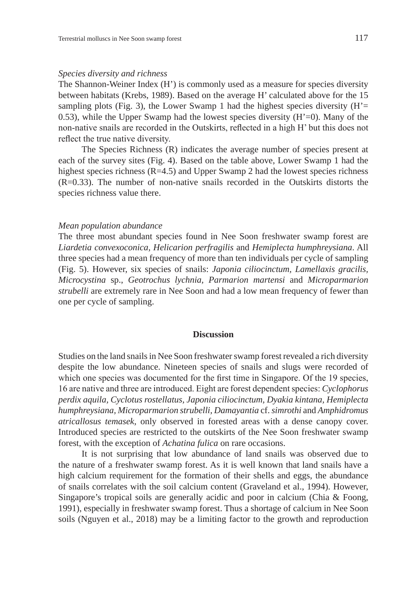# *Species diversity and richness*

The Shannon-Weiner Index (H') is commonly used as a measure for species diversity between habitats (Krebs, 1989). Based on the average H' calculated above for the 15 sampling plots (Fig. 3), the Lower Swamp 1 had the highest species diversity  $(H' =$ 0.53), while the Upper Swamp had the lowest species diversity  $(H'=0)$ . Many of the non-native snails are recorded in the Outskirts, reflected in a high H' but this does not reflect the true native diversity.

The Species Richness (R) indicates the average number of species present at each of the survey sites (Fig. 4). Based on the table above, Lower Swamp 1 had the highest species richness  $(R=4.5)$  and Upper Swamp 2 had the lowest species richness (R=0.33). The number of non-native snails recorded in the Outskirts distorts the species richness value there.

#### *Mean population abundance*

The three most abundant species found in Nee Soon freshwater swamp forest are *Liardetia convexoconica, Helicarion perfragilis* and *Hemiplecta humphreysiana*. All three species had a mean frequency of more than ten individuals per cycle of sampling (Fig. 5). However, six species of snails: *Japonia ciliocinctum, Lamellaxis gracilis, Microcystina* sp., *Geotrochus lychnia, Parmarion martensi* and *Microparmarion strubelli* are extremely rare in Nee Soon and had a low mean frequency of fewer than one per cycle of sampling.

#### **Discussion**

Studies on the land snails in Nee Soon freshwater swamp forest revealed a rich diversity despite the low abundance. Nineteen species of snails and slugs were recorded of which one species was documented for the first time in Singapore. Of the 19 species, 16 are native and three are introduced. Eight are forest dependent species: *Cyclophorus perdix aquila, Cyclotus rostellatus, Japonia ciliocinctum, Dyakia kintana, Hemiplecta humphreysiana, Microparmarion strubelli, Damayantia* cf. *simrothi* and *Amphidromus atricallosus temasek*, only observed in forested areas with a dense canopy cover. Introduced species are restricted to the outskirts of the Nee Soon freshwater swamp forest, with the exception of *Achatina fulica* on rare occasions.

It is not surprising that low abundance of land snails was observed due to the nature of a freshwater swamp forest. As it is well known that land snails have a high calcium requirement for the formation of their shells and eggs, the abundance of snails correlates with the soil calcium content (Graveland et al., 1994). However, Singapore's tropical soils are generally acidic and poor in calcium (Chia & Foong, 1991), especially in freshwater swamp forest. Thus a shortage of calcium in Nee Soon soils (Nguyen et al., 2018) may be a limiting factor to the growth and reproduction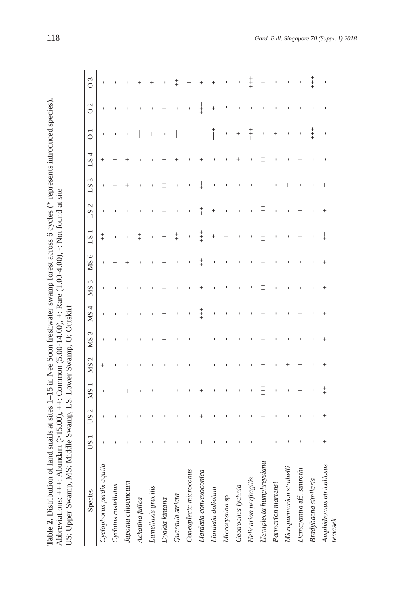| Species                             | $\overline{\phantom{0}}$<br>SU | $\mathcal{L}$<br><b>CO</b> | <b>NS</b>          | $\mathcal{C}$<br><b>NS</b> | 3<br>SM | 4<br><b>NS</b> | 5<br>SM    | ७<br><b>NIS</b> | $L_{S}$    | $\mathbf 1$<br>$L_{S}$ | ς<br>21                                             | 4<br>$L_{S}$ | $\circ$      | $\mathcal{L}$<br>O | $\epsilon$<br>0 |
|-------------------------------------|--------------------------------|----------------------------|--------------------|----------------------------|---------|----------------|------------|-----------------|------------|------------------------|-----------------------------------------------------|--------------|--------------|--------------------|-----------------|
| Cyclophorus perdix aquila           | ĭ,                             | J.                         | ı                  | $^+$                       | J.      | t              | ٠          | ı               | $\ddagger$ | ٠                      | ı                                                   | $^+$         |              |                    | ı               |
| Cyclotus rostellatus                |                                |                            | $^+$               |                            | I.      | J.             |            | $^+$            | I,         | J.                     | $^+$                                                | $^+$         |              |                    |                 |
| Japonia ciliocinctum                |                                |                            | $^{+}$             |                            |         |                |            | $^{+}$          |            |                        | $^+$                                                |              |              |                    |                 |
| Achatina fulica                     |                                |                            |                    |                            |         |                |            |                 | $\ddagger$ |                        |                                                     |              | $\ddagger$   |                    |                 |
| Lamellaxis gracilis                 |                                |                            |                    |                            |         | $\mathbf{I}$   |            |                 | Ï          | I.                     | I.                                                  |              | $^{+}$       |                    |                 |
| Dyakia kintana                      |                                |                            | $\hspace{0.1mm} +$ |                            | $^+$    | $^{+}$         | $^{+}$     | $^+$            | $^{+}$     | $^+$                   | $\ddagger$                                          | $^{+}$       | I            | $^{+}$             |                 |
| Quantula striata                    |                                |                            |                    |                            |         | $\mathbf{I}$   | J.         |                 | $\ddagger$ | $\blacksquare$         | $\begin{array}{c} \rule{0.2cm}{0.15mm} \end{array}$ | $^+$         | $\ddagger$   | Ï                  | $^\pm$          |
| Coneuplecta microconus              |                                |                            |                    |                            |         | $\mathbf{I}$   |            |                 | ı          | J.                     | J.                                                  |              | $^{+}$       | Ï                  | $^{+}$          |
| Liardetia convexoconica             | $^{+}$                         | $^{+}$                     | $^+$               |                            |         | $\ddagger$     | $^{+}$     | $\ddagger$      | $\ddagger$ | $\ddagger$             | $\ddagger$                                          | $^+$         |              | $\ddagger$         |                 |
| Liardetia doliolum                  |                                |                            |                    |                            |         | ı              |            |                 | $^{+}$     | $^{+}$                 | $\mathbf{I}$                                        | J.           | $\ddagger$   | $^{+}$             | $^+$            |
| Microcystina sp                     |                                |                            |                    |                            |         | I,             |            |                 | $^{+}$     | ı                      | J.                                                  |              | $\mathbf{I}$ |                    | $\mathbf{I}$    |
| Geotrochus lychnia                  |                                |                            |                    |                            |         | J.             |            |                 |            |                        | J.                                                  | $^+$         | $^{+}$       |                    |                 |
| Helicarion perfragilis              |                                |                            |                    |                            |         |                |            |                 |            |                        | I.                                                  |              | $\ddagger$   |                    | Ŧ               |
| Hemiplecta humphreysiana            | $^{+}$                         | $^+$                       | $\ddagger$         | $^{+}$                     | $^+$    | $^+$           | $\ddagger$ | $^+$            | ⇟          | $\ddagger$             | $^+$                                                | $\ddagger$   | $\mathbf{I}$ |                    | $^{+}$          |
| Parmarion martensi                  |                                | $\mathbf{I}$               |                    |                            |         | I              | Ï          |                 | ı          | ı                      |                                                     | $\mathbf{I}$ | $^{+}$       |                    | J.              |
| Microparmarion strubelli            |                                | $\mathbf{I}$               |                    | ╇                          |         |                | ı          |                 |            |                        | $\hspace{0.1mm} +$                                  | I.           | ı            |                    | J.              |
| Damayantia aff. simrothi            |                                | J.                         | $^{+}$             | $^{+}$                     |         | $^+$           | J.         |                 | $^+$       | $^+$                   |                                                     | $^+$         |              |                    |                 |
| Bradybaena similaris                |                                | J.                         | $\mathbf{I}$       |                            |         | I,             |            |                 |            |                        |                                                     | J.           | $\ddagger$   |                    | Ŧ               |
| Amphidromus atricallosus<br>temasek | $^{+}$                         | $^+$                       | $\ddagger$         | $^{+}$                     | $^{+}$  | $^+$           | $^+$       | $^+$            | $\ddagger$ | $^{+}$                 | $^+$                                                | I.           |              |                    |                 |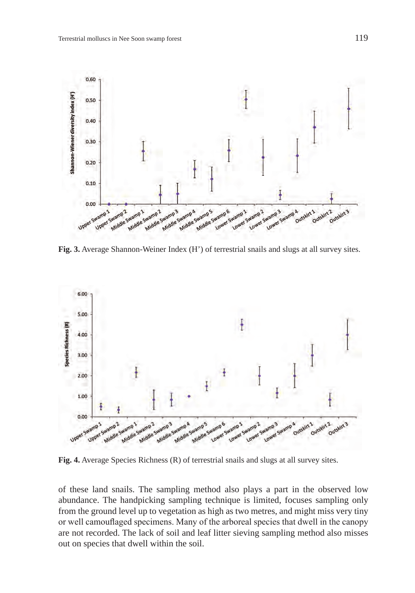

**Fig. 3.** Average Shannon-Weiner Index (H') of terrestrial snails and slugs at all survey sites.



**Fig. 4.** Average Species Richness (R) of terrestrial snails and slugs at all survey sites.

of these land snails. The sampling method also plays a part in the observed low abundance. The handpicking sampling technique is limited, focuses sampling only from the ground level up to vegetation as high as two metres, and might miss very tiny or well camouflaged specimens. Many of the arboreal species that dwell in the canopy are not recorded. The lack of soil and leaf litter sieving sampling method also misses out on species that dwell within the soil.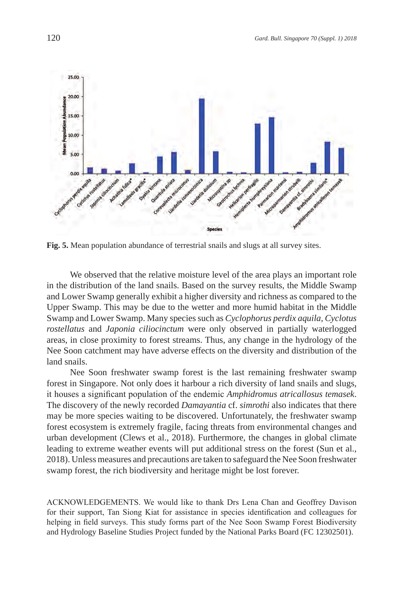

**Fig. 5.** Mean population abundance of terrestrial snails and slugs at all survey sites.

We observed that the relative moisture level of the area plays an important role in the distribution of the land snails. Based on the survey results, the Middle Swamp and Lower Swamp generally exhibit a higher diversity and richness as compared to the Upper Swamp. This may be due to the wetter and more humid habitat in the Middle Swamp and Lower Swamp. Many species such as *Cyclophorus perdix aquila, Cyclotus rostellatus* and *Japonia ciliocinctum* were only observed in partially waterlogged areas, in close proximity to forest streams. Thus, any change in the hydrology of the Nee Soon catchment may have adverse effects on the diversity and distribution of the land snails.

Nee Soon freshwater swamp forest is the last remaining freshwater swamp forest in Singapore. Not only does it harbour a rich diversity of land snails and slugs, it houses a significant population of the endemic *Amphidromus atricallosus temasek*. The discovery of the newly recorded *Damayantia* cf. *simrothi* also indicates that there may be more species waiting to be discovered. Unfortunately, the freshwater swamp forest ecosystem is extremely fragile, facing threats from environmental changes and urban development (Clews et al., 2018). Furthermore, the changes in global climate leading to extreme weather events will put additional stress on the forest (Sun et al., 2018). Unless measures and precautions are taken to safeguard the Nee Soon freshwater swamp forest, the rich biodiversity and heritage might be lost forever.

ACKNOWLEDGEMENTS. We would like to thank Drs Lena Chan and Geoffrey Davison for their support, Tan Siong Kiat for assistance in species identification and colleagues for helping in field surveys. This study forms part of the Nee Soon Swamp Forest Biodiversity and Hydrology Baseline Studies Project funded by the National Parks Board (FC 12302501).